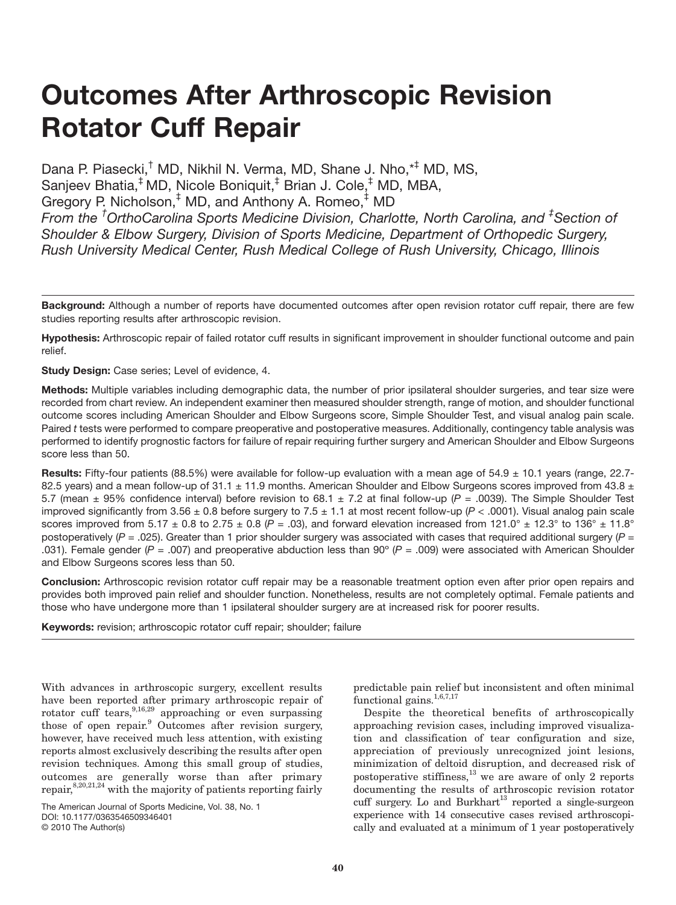# **Outcomes After Arthroscopic Revision Rotator Cuff Repair**

Dana P. Piasecki,<sup>†</sup> MD, Nikhil N. Verma, MD, Shane J. Nho,\*<sup>‡</sup> MD, MS, Sanjeev Bhatia,<sup>‡</sup> MD, Nicole Boniquit,<sup>‡</sup> Brian J. Cole,<sup>‡</sup> MD, MBA, Gregory P. Nicholson,<sup>‡</sup> MD, and Anthony A. Romeo,<sup>‡</sup> MD *From the † OrthoCarolina Sports Medicine Division, Charlotte, North Carolina, and ‡ Section of Shoulder & Elbow Surgery, Division of Sports Medicine, Department of Orthopedic Surgery, Rush University Medical Center, Rush Medical College of Rush University, Chicago, Illinois*

**Background:** Although a number of reports have documented outcomes after open revision rotator cuff repair, there are few studies reporting results after arthroscopic revision.

**Hypothesis:** Arthroscopic repair of failed rotator cuff results in significant improvement in shoulder functional outcome and pain relief.

**Study Design:** Case series; Level of evidence, 4.

**Methods:** Multiple variables including demographic data, the number of prior ipsilateral shoulder surgeries, and tear size were recorded from chart review. An independent examiner then measured shoulder strength, range of motion, and shoulder functional outcome scores including American Shoulder and Elbow Surgeons score, Simple Shoulder Test, and visual analog pain scale. Paired *t* tests were performed to compare preoperative and postoperative measures. Additionally, contingency table analysis was performed to identify prognostic factors for failure of repair requiring further surgery and American Shoulder and Elbow Surgeons score less than 50.

**Results:** Fifty-four patients (88.5%) were available for follow-up evaluation with a mean age of 54.9 ± 10.1 years (range, 22.7- 82.5 years) and a mean follow-up of  $31.1 \pm 11.9$  months. American Shoulder and Elbow Surgeons scores improved from 43.8  $\pm$ 5.7 (mean ± 95% confidence interval) before revision to 68.1 ± 7.2 at final follow-up (*P* = .0039). The Simple Shoulder Test improved significantly from  $3.56 \pm 0.8$  before surgery to  $7.5 \pm 1.1$  at most recent follow-up ( $P < .0001$ ). Visual analog pain scale scores improved from 5.17  $\pm$  0.8 to 2.75  $\pm$  0.8 (P = .03), and forward elevation increased from 121.0°  $\pm$  12.3° to 136°  $\pm$  11.8° postoperatively (*P* = .025). Greater than 1 prior shoulder surgery was associated with cases that required additional surgery (*P* = .031). Female gender ( $P = .007$ ) and preoperative abduction less than 90 $^{\circ}$  ( $P = .009$ ) were associated with American Shoulder and Elbow Surgeons scores less than 50.

**Conclusion:** Arthroscopic revision rotator cuff repair may be a reasonable treatment option even after prior open repairs and provides both improved pain relief and shoulder function. Nonetheless, results are not completely optimal. Female patients and those who have undergone more than 1 ipsilateral shoulder surgery are at increased risk for poorer results.

**Keywords:** revision; arthroscopic rotator cuff repair; shoulder; failure

With advances in arthroscopic surgery, excellent results have been reported after primary arthroscopic repair of rotator cuff tears,  $9,16,29$  approaching or even surpassing those of open repair.<sup>9</sup> Outcomes after revision surgery, however, have received much less attention, with existing reports almost exclusively describing the results after open revision techniques. Among this small group of studies, outcomes are generally worse than after primary repair,  $8,20,21,24$  with the majority of patients reporting fairly

The American Journal of Sports Medicine, Vol. 38, No. 1 DOI: 10.1177/0363546509346401 © 2010 The Author(s)

predictable pain relief but inconsistent and often minimal functional gains.<sup>1,6,7,17</sup>

Despite the theoretical benefits of arthroscopically approaching revision cases, including improved visualization and classification of tear configuration and size, appreciation of previously unrecognized joint lesions, minimization of deltoid disruption, and decreased risk of postoperative stiffiness,  $^{13}$  we are aware of only 2 reports documenting the results of arthroscopic revision rotator cuff surgery. Lo and Burkhart<sup>13</sup> reported a single-surgeon experience with 14 consecutive cases revised arthroscopically and evaluated at a minimum of 1 year postoperatively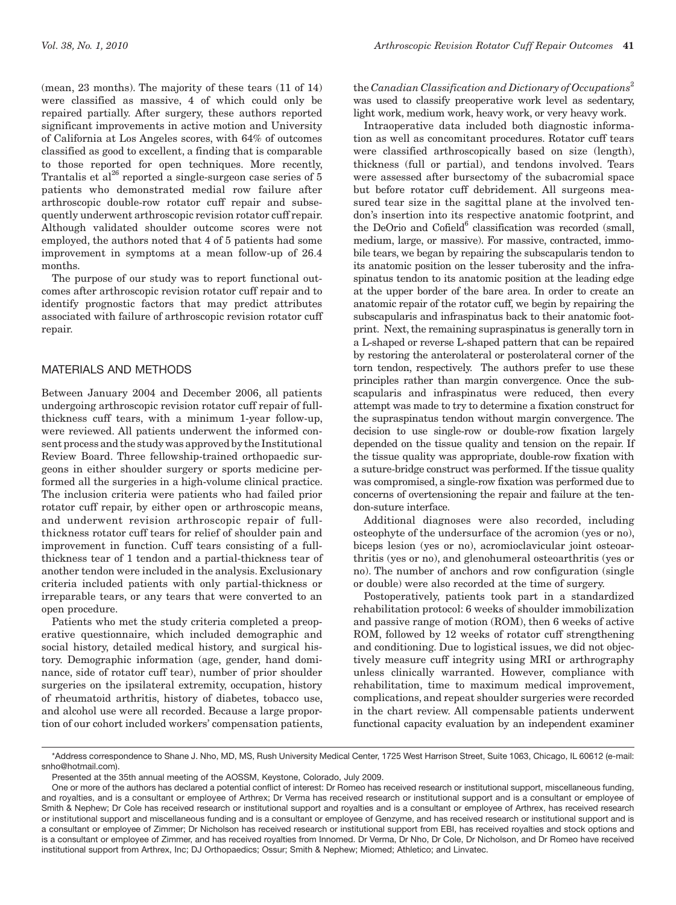(mean, 23 months). The majority of these tears (11 of 14) were classified as massive, 4 of which could only be repaired partially. After surgery, these authors reported significant improvements in active motion and University of California at Los Angeles scores, with 64% of outcomes classified as good to excellent, a finding that is comparable to those reported for open techniques. More recently, Trantalis et  $al^{26}$  reported a single-surgeon case series of 5 patients who demonstrated medial row failure after arthroscopic double-row rotator cuff repair and subsequently underwent arthroscopic revision rotator cuff repair. Although validated shoulder outcome scores were not employed, the authors noted that 4 of 5 patients had some improvement in symptoms at a mean follow-up of 26.4 months.

The purpose of our study was to report functional outcomes after arthroscopic revision rotator cuff repair and to identify prognostic factors that may predict attributes associated with failure of arthroscopic revision rotator cuff repair.

#### MATERIALS AND METHODS

Between January 2004 and December 2006, all patients undergoing arthroscopic revision rotator cuff repair of fullthickness cuff tears, with a minimum 1-year follow-up, were reviewed. All patients underwent the informed consent process and the study was approved by the Institutional Review Board. Three fellowship-trained orthopaedic surgeons in either shoulder surgery or sports medicine performed all the surgeries in a high-volume clinical practice. The inclusion criteria were patients who had failed prior rotator cuff repair, by either open or arthroscopic means, and underwent revision arthroscopic repair of fullthickness rotator cuff tears for relief of shoulder pain and improvement in function. Cuff tears consisting of a fullthickness tear of 1 tendon and a partial-thickness tear of another tendon were included in the analysis. Exclusionary criteria included patients with only partial-thickness or irreparable tears, or any tears that were converted to an open procedure.

Patients who met the study criteria completed a preoperative questionnaire, which included demographic and social history, detailed medical history, and surgical history. Demographic information (age, gender, hand dominance, side of rotator cuff tear), number of prior shoulder surgeries on the ipsilateral extremity, occupation, history of rheumatoid arthritis, history of diabetes, tobacco use, and alcohol use were all recorded. Because a large proportion of our cohort included workers' compensation patients, the *Canadian Classification and Dictionary of Occupations*<sup>2</sup> was used to classify preoperative work level as sedentary, light work, medium work, heavy work, or very heavy work.

Intraoperative data included both diagnostic information as well as concomitant procedures. Rotator cuff tears were classified arthroscopically based on size (length), thickness (full or partial), and tendons involved. Tears were assessed after bursectomy of the subacromial space but before rotator cuff debridement. All surgeons measured tear size in the sagittal plane at the involved tendon's insertion into its respective anatomic footprint, and the DeOrio and Cofield<sup>6</sup> classification was recorded (small, medium, large, or massive). For massive, contracted, immobile tears, we began by repairing the subscapularis tendon to its anatomic position on the lesser tuberosity and the infraspinatus tendon to its anatomic position at the leading edge at the upper border of the bare area. In order to create an anatomic repair of the rotator cuff, we begin by repairing the subscapularis and infraspinatus back to their anatomic footprint. Next, the remaining supraspinatus is generally torn in a L-shaped or reverse L-shaped pattern that can be repaired by restoring the anterolateral or posterolateral corner of the torn tendon, respectively. The authors prefer to use these principles rather than margin convergence. Once the subscapularis and infraspinatus were reduced, then every attempt was made to try to determine a fixation construct for the supraspinatus tendon without margin convergence. The decision to use single-row or double-row fixation largely depended on the tissue quality and tension on the repair. If the tissue quality was appropriate, double-row fixation with a suture-bridge construct was performed. If the tissue quality was compromised, a single-row fixation was performed due to concerns of overtensioning the repair and failure at the tendon-suture interface.

Additional diagnoses were also recorded, including osteophyte of the undersurface of the acromion (yes or no), biceps lesion (yes or no), acromioclavicular joint osteoarthritis (yes or no), and glenohumeral osteoarthritis (yes or no). The number of anchors and row configuration (single or double) were also recorded at the time of surgery.

Postoperatively, patients took part in a standardized rehabilitation protocol: 6 weeks of shoulder immobilization and passive range of motion (ROM), then 6 weeks of active ROM, followed by 12 weeks of rotator cuff strengthening and conditioning. Due to logistical issues, we did not objectively measure cuff integrity using MRI or arthrography unless clinically warranted. However, compliance with rehabilitation, time to maximum medical improvement, complications, and repeat shoulder surgeries were recorded in the chart review. All compensable patients underwent functional capacity evaluation by an independent examiner

<sup>\*</sup>Address correspondence to Shane J. Nho, MD, MS, Rush University Medical Center, 1725 West Harrison Street, Suite 1063, Chicago, IL 60612 (e-mail: snho@hotmail.com).

Presented at the 35th annual meeting of the AOSSM, Keystone, Colorado, July 2009.

One or more of the authors has declared a potential conflict of interest: Dr Romeo has received research or institutional support, miscellaneous funding, and royalties, and is a consultant or employee of Arthrex; Dr Verma has received research or institutional support and is a consultant or employee of Smith & Nephew; Dr Cole has received research or institutional support and royalties and is a consultant or employee of Arthrex, has received research or institutional support and miscellaneous funding and is a consultant or employee of Genzyme, and has received research or institutional support and is a consultant or employee of Zimmer; Dr Nicholson has received research or institutional support from EBI, has received royalties and stock options and is a consultant or employee of Zimmer, and has received royalties from Innomed. Dr Verma, Dr Nho, Dr Cole, Dr Nicholson, and Dr Romeo have received institutional support from Arthrex, Inc; DJ Orthopaedics; Ossur; Smith & Nephew; Miomed; Athletico; and Linvatec.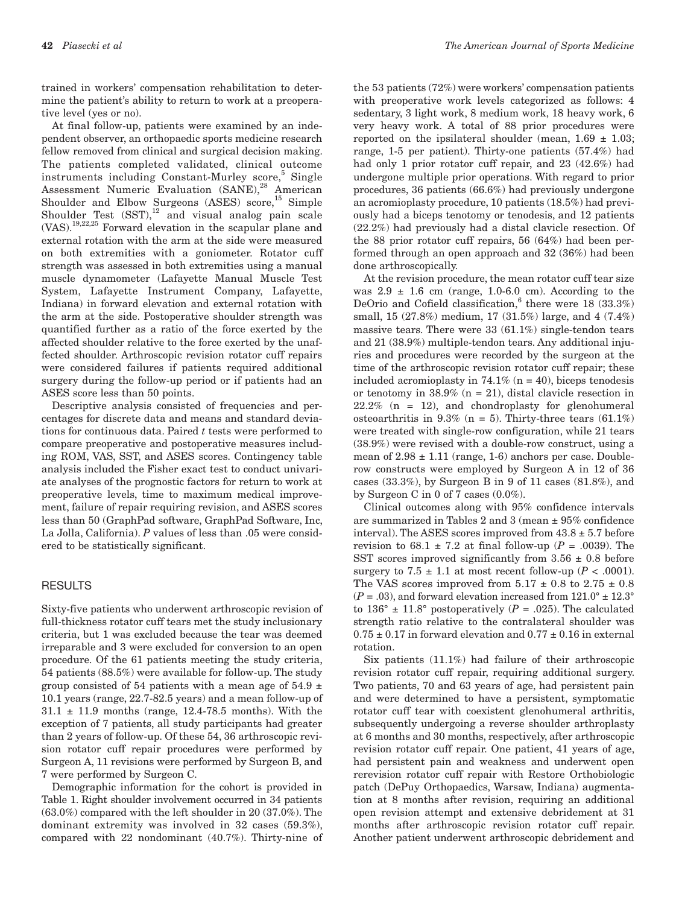trained in workers' compensation rehabilitation to determine the patient's ability to return to work at a preopera-

tive level (yes or no). At final follow-up, patients were examined by an independent observer, an orthopaedic sports medicine research fellow removed from clinical and surgical decision making. The patients completed validated, clinical outcome instruments including Constant-Murley score,<sup>5</sup> Single Assessment Numeric Evaluation (SANE),<sup>28</sup> American Shoulder and Elbow Surgeons (ASES) score,<sup>15</sup> Simple Shoulder Test  $(SST)$ ,<sup>12</sup> and visual analog pain scale (VAS).19,22,25 Forward elevation in the scapular plane and external rotation with the arm at the side were measured on both extremities with a goniometer. Rotator cuff strength was assessed in both extremities using a manual muscle dynamometer (Lafayette Manual Muscle Test System, Lafayette Instrument Company, Lafayette, Indiana) in forward elevation and external rotation with the arm at the side. Postoperative shoulder strength was quantified further as a ratio of the force exerted by the affected shoulder relative to the force exerted by the unaffected shoulder. Arthroscopic revision rotator cuff repairs were considered failures if patients required additional surgery during the follow-up period or if patients had an ASES score less than 50 points.

Descriptive analysis consisted of frequencies and percentages for discrete data and means and standard deviations for continuous data. Paired *t* tests were performed to compare preoperative and postoperative measures including ROM, VAS, SST, and ASES scores. Contingency table analysis included the Fisher exact test to conduct univariate analyses of the prognostic factors for return to work at preoperative levels, time to maximum medical improvement, failure of repair requiring revision, and ASES scores less than 50 (GraphPad software, GraphPad Software, Inc, La Jolla, California). *P* values of less than .05 were considered to be statistically significant.

## RESULTS

Sixty-five patients who underwent arthroscopic revision of full-thickness rotator cuff tears met the study inclusionary criteria, but 1 was excluded because the tear was deemed irreparable and 3 were excluded for conversion to an open procedure. Of the 61 patients meeting the study criteria, 54 patients (88.5%) were available for follow-up. The study group consisted of 54 patients with a mean age of 54.9  $\pm$ 10.1 years (range, 22.7-82.5 years) and a mean follow-up of  $31.1 \pm 11.9$  months (range, 12.4-78.5 months). With the exception of 7 patients, all study participants had greater than 2 years of follow-up. Of these 54, 36 arthroscopic revision rotator cuff repair procedures were performed by Surgeon A, 11 revisions were performed by Surgeon B, and 7 were performed by Surgeon C.

Demographic information for the cohort is provided in Table 1. Right shoulder involvement occurred in 34 patients (63.0%) compared with the left shoulder in 20 (37.0%). The dominant extremity was involved in 32 cases (59.3%), compared with 22 nondominant (40.7%). Thirty-nine of the 53 patients (72%) were workers' compensation patients with preoperative work levels categorized as follows: 4 sedentary, 3 light work, 8 medium work, 18 heavy work, 6 very heavy work. A total of 88 prior procedures were reported on the ipsilateral shoulder (mean,  $1.69 \pm 1.03$ ; range, 1-5 per patient). Thirty-one patients (57.4%) had had only 1 prior rotator cuff repair, and 23 (42.6%) had undergone multiple prior operations. With regard to prior procedures, 36 patients (66.6%) had previously undergone an acromioplasty procedure, 10 patients (18.5%) had previously had a biceps tenotomy or tenodesis, and 12 patients (22.2%) had previously had a distal clavicle resection. Of the 88 prior rotator cuff repairs, 56 (64%) had been performed through an open approach and 32 (36%) had been done arthroscopically.

At the revision procedure, the mean rotator cuff tear size was  $2.9 \pm 1.6$  cm (range, 1.0-6.0 cm). According to the DeOrio and Cofield classification,  $6$  there were 18 (33.3%) small, 15 (27.8%) medium, 17 (31.5%) large, and 4 (7.4%) massive tears. There were 33 (61.1%) single-tendon tears and 21 (38.9%) multiple-tendon tears. Any additional injuries and procedures were recorded by the surgeon at the time of the arthroscopic revision rotator cuff repair; these included acromioplasty in  $74.1\%$  (n = 40), biceps tenodesis or tenotomy in  $38.9\%$  (n = 21), distal clavicle resection in 22.2% (n = 12), and chondroplasty for glenohumeral osteoarthritis in 9.3% (n = 5). Thirty-three tears  $(61.1\%)$ were treated with single-row configuration, while 21 tears (38.9%) were revised with a double-row construct, using a mean of  $2.98 \pm 1.11$  (range, 1-6) anchors per case. Doublerow constructs were employed by Surgeon A in 12 of 36 cases (33.3%), by Surgeon B in 9 of 11 cases (81.8%), and by Surgeon C in 0 of 7 cases  $(0.0\%)$ .

Clinical outcomes along with 95% confidence intervals are summarized in Tables 2 and 3 (mean ± 95% confidence interval). The ASES scores improved from  $43.8 \pm 5.7$  before revision to  $68.1 \pm 7.2$  at final follow-up ( $P = .0039$ ). The SST scores improved significantly from  $3.56 \pm 0.8$  before surgery to  $7.5 \pm 1.1$  at most recent follow-up ( $P < .0001$ ). The VAS scores improved from  $5.17 \pm 0.8$  to  $2.75 \pm 0.8$ ( $P = .03$ ), and forward elevation increased from  $121.0^{\circ} \pm 12.3^{\circ}$ to  $136^\circ \pm 11.8^\circ$  postoperatively (*P* = .025). The calculated strength ratio relative to the contralateral shoulder was  $0.75 \pm 0.17$  in forward elevation and  $0.77 \pm 0.16$  in external rotation.

Six patients (11.1%) had failure of their arthroscopic revision rotator cuff repair, requiring additional surgery. Two patients, 70 and 63 years of age, had persistent pain and were determined to have a persistent, symptomatic rotator cuff tear with coexistent glenohumeral arthritis, subsequently undergoing a reverse shoulder arthroplasty at 6 months and 30 months, respectively, after arthroscopic revision rotator cuff repair. One patient, 41 years of age, had persistent pain and weakness and underwent open rerevision rotator cuff repair with Restore Orthobiologic patch (DePuy Orthopaedics, Warsaw, Indiana) augmentation at 8 months after revision, requiring an additional open revision attempt and extensive debridement at 31 months after arthroscopic revision rotator cuff repair. Another patient underwent arthroscopic debridement and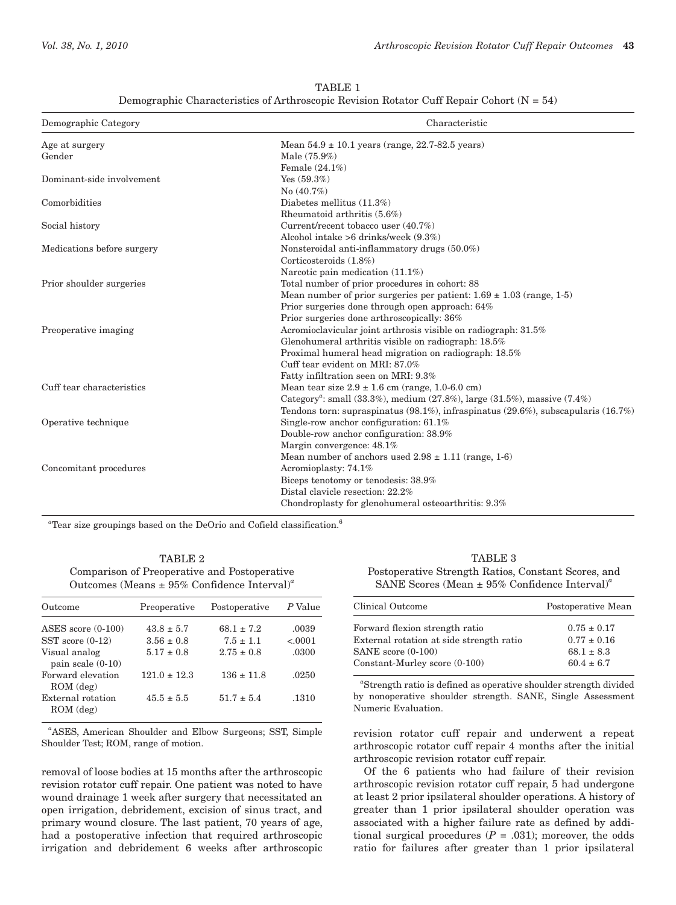TABLE 1 Demographic Characteristics of Arthroscopic Revision Rotator Cuff Repair Cohort (N = 54)

| Demographic Category       | Characteristic                                                                               |
|----------------------------|----------------------------------------------------------------------------------------------|
| Age at surgery             | Mean $54.9 \pm 10.1$ years (range, 22.7-82.5 years)                                          |
| Gender                     | Male (75.9%)                                                                                 |
|                            | Female $(24.1\%)$                                                                            |
| Dominant-side involvement  | Yes $(59.3\%)$                                                                               |
|                            | No(40.7%)                                                                                    |
| Comorbidities              | Diabetes mellitus $(11.3\%)$                                                                 |
|                            | Rheumatoid arthritis (5.6%)                                                                  |
| Social history             | Current/recent tobacco user $(40.7\%)$                                                       |
|                            | Alcohol intake $>6$ drinks/week (9.3%)                                                       |
| Medications before surgery | Nonsteroidal anti-inflammatory drugs (50.0%)                                                 |
|                            | Corticosteroids (1.8%)                                                                       |
|                            | Narcotic pain medication (11.1%)                                                             |
| Prior shoulder surgeries   | Total number of prior procedures in cohort: 88                                               |
|                            | Mean number of prior surgeries per patient: $1.69 \pm 1.03$ (range, 1-5)                     |
|                            | Prior surgeries done through open approach: 64%                                              |
|                            | Prior surgeries done arthroscopically: 36%                                                   |
| Preoperative imaging       | Acromioclavicular joint arthrosis visible on radiograph: 31.5%                               |
|                            | Glenohumeral arthritis visible on radiograph: 18.5%                                          |
|                            | Proximal humeral head migration on radiograph: 18.5%                                         |
|                            | Cuff tear evident on MRI: 87.0%                                                              |
|                            | Fatty infiltration seen on MRI: 9.3%                                                         |
| Cuff tear characteristics  | Mean tear size $2.9 \pm 1.6$ cm (range, 1.0-6.0 cm)                                          |
|                            | Category <sup><i>a</i></sup> : small (33.3%), medium (27.8%), large (31.5%), massive (7.4%)  |
|                            | Tendons torn: supraspinatus $(98.1\%)$ , infraspinatus $(29.6\%)$ , subscapularis $(16.7\%)$ |
| Operative technique        | Single-row anchor configuration: $61.1\%$                                                    |
|                            | Double-row anchor configuration: 38.9%                                                       |
|                            | Margin convergence: 48.1%                                                                    |
|                            | Mean number of anchors used $2.98 \pm 1.11$ (range, 1-6)                                     |
| Concomitant procedures     | Acromioplasty: 74.1%                                                                         |
|                            | Biceps tenotomy or tenodesis: 38.9%                                                          |
|                            | Distal clavicle resection: 22.2%                                                             |
|                            | Chondroplasty for glenohumeral osteoarthritis: 9.3%                                          |
|                            |                                                                                              |

<sup>a</sup>Tear size groupings based on the DeOrio and Cofield classification.<sup>6</sup>

TABLE 2 Comparison of Preoperative and Postoperative Outcomes (Means ± 95% Confidence Interval)*<sup>a</sup>*

| Outcome                                   | Preoperative     | Postoperative  | P Value |
|-------------------------------------------|------------------|----------------|---------|
| $ASES$ score $(0-100)$                    | $43.8 \pm 5.7$   | $68.1 \pm 7.2$ | .0039   |
| $SST$ score $(0-12)$                      | $3.56 \pm 0.8$   | $7.5 \pm 1.1$  | < .0001 |
| Visual analog<br>pain scale $(0-10)$      | $5.17 \pm 0.8$   | $2.75 \pm 0.8$ | .0300   |
| Forward elevation<br>$ROM$ (deg)          | $121.0 \pm 12.3$ | $136 \pm 11.8$ | .0250   |
| External rotation<br>$ROM$ $(\text{deg})$ | $45.5 \pm 5.5$   | $51.7 \pm 5.4$ | .1310   |
|                                           |                  |                |         |

*a* ASES, American Shoulder and Elbow Surgeons; SST, Simple Shoulder Test; ROM, range of motion.

removal of loose bodies at 15 months after the arthroscopic revision rotator cuff repair. One patient was noted to have wound drainage 1 week after surgery that necessitated an open irrigation, debridement, excision of sinus tract, and primary wound closure. The last patient, 70 years of age, had a postoperative infection that required arthroscopic irrigation and debridement 6 weeks after arthroscopic

TABLE 3 Postoperative Strength Ratios, Constant Scores, and SANE Scores (Mean ± 95% Confidence Interval)*<sup>a</sup>*

| Postoperative Mean |  |
|--------------------|--|
| $0.75 \pm 0.17$    |  |
| $0.77 \pm 0.16$    |  |
| $68.1 \pm 8.3$     |  |
| $60.4 \pm 6.7$     |  |
|                    |  |

*a* Strength ratio is defined as operative shoulder strength divided by nonoperative shoulder strength. SANE, Single Assessment Numeric Evaluation.

revision rotator cuff repair and underwent a repeat arthroscopic rotator cuff repair 4 months after the initial arthroscopic revision rotator cuff repair.

Of the 6 patients who had failure of their revision arthroscopic revision rotator cuff repair, 5 had undergone at least 2 prior ipsilateral shoulder operations. A history of greater than 1 prior ipsilateral shoulder operation was associated with a higher failure rate as defined by additional surgical procedures  $(P = .031)$ ; moreover, the odds ratio for failures after greater than 1 prior ipsilateral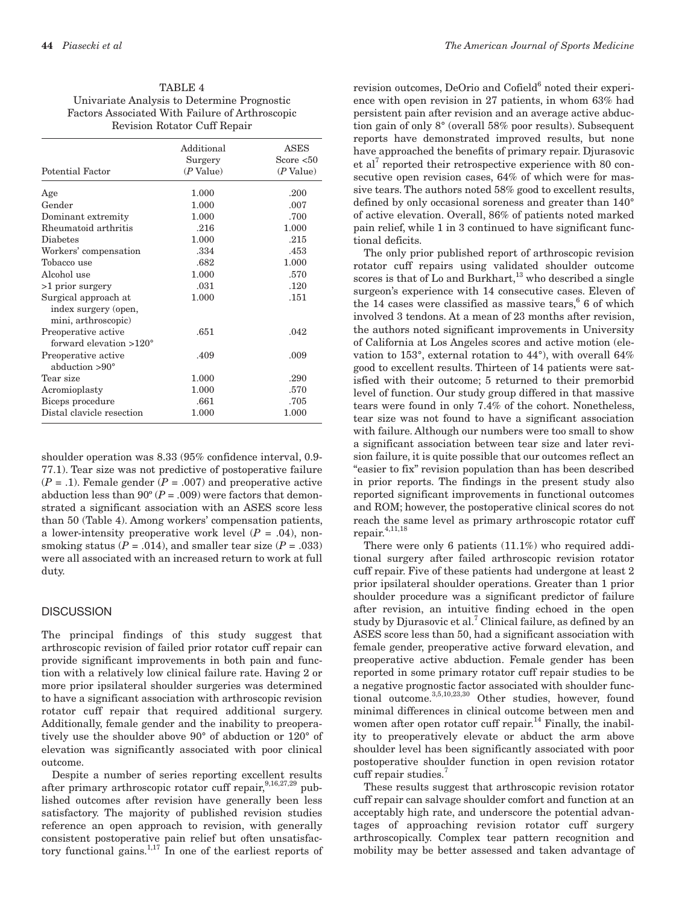| TABLE 4                                         |
|-------------------------------------------------|
| Univariate Analysis to Determine Prognostic     |
| Factors Associated With Failure of Arthroscopic |
| Revision Rotator Cuff Repair                    |
|                                                 |

 $T_{\rm max}$ 

| Additional<br>Surgery<br>$(P$ Value) | ASES<br>Score $< 50$<br>$(P$ Value) |
|--------------------------------------|-------------------------------------|
| 1.000                                | .200                                |
| 1.000                                | .007                                |
| 1.000                                | .700                                |
| .216                                 | 1.000                               |
| 1.000                                | .215                                |
| .334                                 | .453                                |
| .682                                 | 1.000                               |
| 1.000                                | .570                                |
| .031                                 | .120                                |
| 1.000                                | .151                                |
|                                      |                                     |
| .651                                 | .042                                |
| .409                                 | .009                                |
| 1.000                                | .290                                |
| 1.000                                | .570                                |
| .661                                 | .705                                |
| 1.000                                | 1.000                               |
|                                      |                                     |

shoulder operation was 8.33 (95% confidence interval, 0.9- 77.1). Tear size was not predictive of postoperative failure  $(P = .1)$ . Female gender  $(P = .007)$  and preoperative active abduction less than  $90^{\circ}$  ( $P = .009$ ) were factors that demonstrated a significant association with an ASES score less than 50 (Table 4). Among workers' compensation patients, a lower-intensity preoperative work level  $(P = .04)$ , nonsmoking status ( $P = .014$ ), and smaller tear size ( $P = .033$ ) were all associated with an increased return to work at full duty.

### **DISCUSSION**

The principal findings of this study suggest that arthroscopic revision of failed prior rotator cuff repair can provide significant improvements in both pain and function with a relatively low clinical failure rate. Having 2 or more prior ipsilateral shoulder surgeries was determined to have a significant association with arthroscopic revision rotator cuff repair that required additional surgery. Additionally, female gender and the inability to preoperatively use the shoulder above 90° of abduction or 120° of elevation was significantly associated with poor clinical outcome.

Despite a number of series reporting excellent results after primary arthroscopic rotator cuff repair,  $9,16,27,29$  published outcomes after revision have generally been less satisfactory. The majority of published revision studies reference an open approach to revision, with generally consistent postoperative pain relief but often unsatisfactory functional gains. $1,17$  In one of the earliest reports of

revision outcomes, DeOrio and Cofield<sup>6</sup> noted their experience with open revision in 27 patients, in whom 63% had persistent pain after revision and an average active abduction gain of only 8° (overall 58% poor results). Subsequent reports have demonstrated improved results, but none have approached the benefits of primary repair. Djurasovic et al<sup>7</sup> reported their retrospective experience with 80 consecutive open revision cases,  $64\%$  of which were for massive tears. The authors noted 58% good to excellent results, defined by only occasional soreness and greater than 140° of active elevation. Overall, 86% of patients noted marked pain relief, while 1 in 3 continued to have significant functional deficits.

The only prior published report of arthroscopic revision rotator cuff repairs using validated shoulder outcome scores is that of Lo and Burkhart, $^{13}$  who described a single surgeon's experience with 14 consecutive cases. Eleven of the 14 cases were classified as massive tears,  $6$  6 of which involved 3 tendons. At a mean of 23 months after revision, the authors noted significant improvements in University of California at Los Angeles scores and active motion (elevation to 153°, external rotation to 44°), with overall 64% good to excellent results. Thirteen of 14 patients were satisfied with their outcome; 5 returned to their premorbid level of function. Our study group differed in that massive tears were found in only 7.4% of the cohort. Nonetheless, tear size was not found to have a significant association with failure. Although our numbers were too small to show a significant association between tear size and later revision failure, it is quite possible that our outcomes reflect an "easier to fix" revision population than has been described in prior reports. The findings in the present study also reported significant improvements in functional outcomes and ROM; however, the postoperative clinical scores do not reach the same level as primary arthroscopic rotator cuff repair. $4,11,18$ 

There were only 6 patients (11.1%) who required additional surgery after failed arthroscopic revision rotator cuff repair. Five of these patients had undergone at least 2 prior ipsilateral shoulder operations. Greater than 1 prior shoulder procedure was a significant predictor of failure after revision, an intuitive finding echoed in the open study by Djurasovic et al.<sup>7</sup> Clinical failure, as defined by an ASES score less than 50, had a significant association with female gender, preoperative active forward elevation, and preoperative active abduction. Female gender has been reported in some primary rotator cuff repair studies to be a negative prognostic factor associated with shoulder functional outcome.<sup>3,5,10,23,30</sup> Other studies, however, found minimal differences in clinical outcome between men and women after open rotator cuff repair.<sup>14</sup> Finally, the inability to preoperatively elevate or abduct the arm above shoulder level has been significantly associated with poor postoperative shoulder function in open revision rotator cuff repair studies.

These results suggest that arthroscopic revision rotator cuff repair can salvage shoulder comfort and function at an acceptably high rate, and underscore the potential advantages of approaching revision rotator cuff surgery arthroscopically. Complex tear pattern recognition and mobility may be better assessed and taken advantage of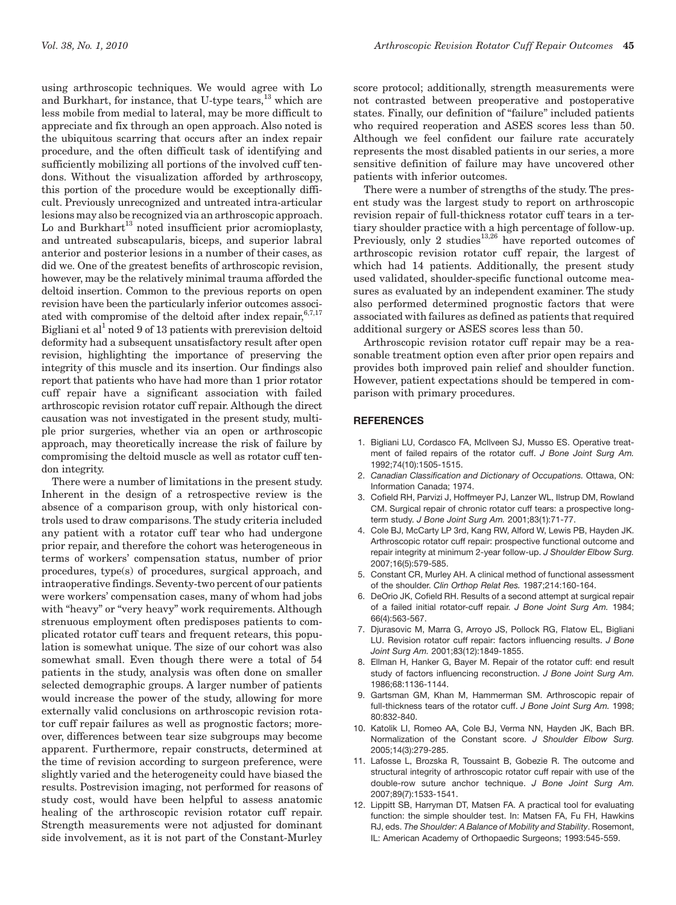using arthroscopic techniques. We would agree with Lo and Burkhart, for instance, that U-type tears, $^{13}$  which are less mobile from medial to lateral, may be more difficult to appreciate and fix through an open approach. Also noted is the ubiquitous scarring that occurs after an index repair procedure, and the often difficult task of identifying and sufficiently mobilizing all portions of the involved cuff tendons. Without the visualization afforded by arthroscopy, this portion of the procedure would be exceptionally difficult. Previously unrecognized and untreated intra-articular lesions may also be recognized via an arthroscopic approach. Lo and Burkhart<sup>13</sup> noted insufficient prior acromioplasty, and untreated subscapularis, biceps, and superior labral anterior and posterior lesions in a number of their cases, as did we. One of the greatest benefits of arthroscopic revision, however, may be the relatively minimal trauma afforded the deltoid insertion. Common to the previous reports on open revision have been the particularly inferior outcomes associated with compromise of the deltoid after index repair,  $6,7,17$ Bigliani et al<sup>1</sup> noted 9 of 13 patients with prerevision deltoid deformity had a subsequent unsatisfactory result after open revision, highlighting the importance of preserving the integrity of this muscle and its insertion. Our findings also report that patients who have had more than 1 prior rotator cuff repair have a significant association with failed arthroscopic revision rotator cuff repair. Although the direct causation was not investigated in the present study, multiple prior surgeries, whether via an open or arthroscopic approach, may theoretically increase the risk of failure by compromising the deltoid muscle as well as rotator cuff tendon integrity.

There were a number of limitations in the present study. Inherent in the design of a retrospective review is the absence of a comparison group, with only historical controls used to draw comparisons. The study criteria included any patient with a rotator cuff tear who had undergone prior repair, and therefore the cohort was heterogeneous in terms of workers' compensation status, number of prior procedures, type(s) of procedures, surgical approach, and intraoperative findings. Seventy-two percent of our patients were workers' compensation cases, many of whom had jobs with "heavy" or "very heavy" work requirements. Although strenuous employment often predisposes patients to complicated rotator cuff tears and frequent retears, this population is somewhat unique. The size of our cohort was also somewhat small. Even though there were a total of 54 patients in the study, analysis was often done on smaller selected demographic groups. A larger number of patients would increase the power of the study, allowing for more externally valid conclusions on arthroscopic revision rotator cuff repair failures as well as prognostic factors; moreover, differences between tear size subgroups may become apparent. Furthermore, repair constructs, determined at the time of revision according to surgeon preference, were slightly varied and the heterogeneity could have biased the results. Postrevision imaging, not performed for reasons of study cost, would have been helpful to assess anatomic healing of the arthroscopic revision rotator cuff repair. Strength measurements were not adjusted for dominant side involvement, as it is not part of the Constant-Murley

score protocol; additionally, strength measurements were not contrasted between preoperative and postoperative states. Finally, our definition of "failure" included patients who required reoperation and ASES scores less than 50. Although we feel confident our failure rate accurately represents the most disabled patients in our series, a more sensitive definition of failure may have uncovered other patients with inferior outcomes.

There were a number of strengths of the study. The present study was the largest study to report on arthroscopic revision repair of full-thickness rotator cuff tears in a tertiary shoulder practice with a high percentage of follow-up. Previously, only 2 studies<sup>13,26</sup> have reported outcomes of arthroscopic revision rotator cuff repair, the largest of which had 14 patients. Additionally, the present study used validated, shoulder-specific functional outcome measures as evaluated by an independent examiner. The study also performed determined prognostic factors that were associated with failures as defined as patients that required additional surgery or ASES scores less than 50.

Arthroscopic revision rotator cuff repair may be a reasonable treatment option even after prior open repairs and provides both improved pain relief and shoulder function. However, patient expectations should be tempered in comparison with primary procedures.

## **REFERENCES**

- 1. Bigliani LU, Cordasco FA, McIlveen SJ, Musso ES. Operative treatment of failed repairs of the rotator cuff. *J Bone Joint Surg Am.* 1992;74(10):1505-1515.
- 2. *Canadian Classification and Dictionary of Occupations.* Ottawa, ON: Information Canada; 1974.
- 3. Cofield RH, Parvizi J, Hoffmeyer PJ, Lanzer WL, Ilstrup DM, Rowland CM. Surgical repair of chronic rotator cuff tears: a prospective longterm study. *J Bone Joint Surg Am.* 2001;83(1):71-77.
- 4. Cole BJ, McCarty LP 3rd, Kang RW, Alford W, Lewis PB, Hayden JK. Arthroscopic rotator cuff repair: prospective functional outcome and repair integrity at minimum 2-year follow-up. *J Shoulder Elbow Surg.* 2007;16(5):579-585.
- 5. Constant CR, Murley AH. A clinical method of functional assessment of the shoulder. *Clin Orthop Relat Res.* 1987;214:160-164.
- 6. DeOrio JK, Cofield RH. Results of a second attempt at surgical repair of a failed initial rotator-cuff repair. *J Bone Joint Surg Am.* 1984; 66(4):563-567.
- 7. Djurasovic M, Marra G, Arroyo JS, Pollock RG, Flatow EL, Bigliani LU. Revision rotator cuff repair: factors influencing results. *J Bone Joint Surg Am.* 2001;83(12):1849-1855.
- 8. Ellman H, Hanker G, Bayer M. Repair of the rotator cuff: end result study of factors influencing reconstruction. *J Bone Joint Surg Am.* 1986;68:1136-1144.
- 9. Gartsman GM, Khan M, Hammerman SM. Arthroscopic repair of full-thickness tears of the rotator cuff. *J Bone Joint Surg Am.* 1998; 80:832-840.
- 10. Katolik LI, Romeo AA, Cole BJ, Verma NN, Hayden JK, Bach BR. Normalization of the Constant score. *J Shoulder Elbow Surg.* 2005;14(3):279-285.
- 11. Lafosse L, Brozska R, Toussaint B, Gobezie R. The outcome and structural integrity of arthroscopic rotator cuff repair with use of the double-row suture anchor technique. *J Bone Joint Surg Am.* 2007;89(7):1533-1541.
- 12. Lippitt SB, Harryman DT, Matsen FA. A practical tool for evaluating function: the simple shoulder test. In: Matsen FA, Fu FH, Hawkins RJ, eds. *The Shoulder: A Balance of Mobility and Stability*. Rosemont, IL: American Academy of Orthopaedic Surgeons; 1993:545-559.